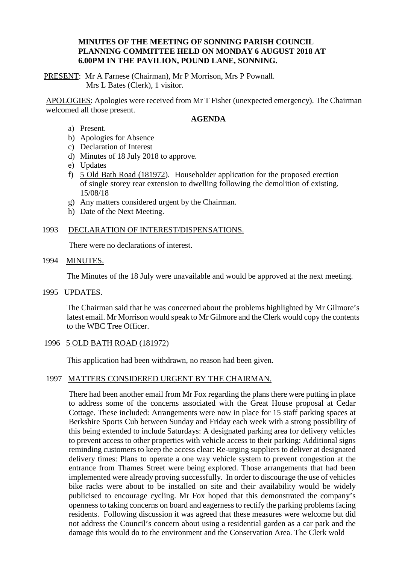# **MINUTES OF THE MEETING OF SONNING PARISH COUNCIL PLANNING COMMITTEE HELD ON MONDAY 6 AUGUST 2018 AT 6.00PM IN THE PAVILION, POUND LANE, SONNING.**

PRESENT: Mr A Farnese (Chairman), Mr P Morrison, Mrs P Pownall. Mrs L Bates (Clerk), 1 visitor.

APOLOGIES: Apologies were received from Mr T Fisher (unexpected emergency). The Chairman welcomed all those present.

### **AGENDA**

- a) Present.
- b) Apologies for Absence
- c) Declaration of Interest
- d) Minutes of 18 July 2018 to approve.
- e) Updates
- f) 5 Old Bath Road (181972). Householder application for the proposed erection of single storey rear extension to dwelling following the demolition of existing. 15/08/18
- g) Any matters considered urgent by the Chairman.
- h) Date of the Next Meeting.

# 1993 DECLARATION OF INTEREST/DISPENSATIONS.

There were no declarations of interest.

1994 MINUTES.

The Minutes of the 18 July were unavailable and would be approved at the next meeting.

1995 UPDATES.

The Chairman said that he was concerned about the problems highlighted by Mr Gilmore's latest email. Mr Morrison would speak to Mr Gilmore and the Clerk would copy the contents to the WBC Tree Officer.

### 1996 5 OLD BATH ROAD (181972)

This application had been withdrawn, no reason had been given.

### 1997 MATTERS CONSIDERED URGENT BY THE CHAIRMAN.

There had been another email from Mr Fox regarding the plans there were putting in place to address some of the concerns associated with the Great House proposal at Cedar Cottage. These included: Arrangements were now in place for 15 staff parking spaces at Berkshire Sports Cub between Sunday and Friday each week with a strong possibility of this being extended to include Saturdays: A designated parking area for delivery vehicles to prevent access to other properties with vehicle access to their parking: Additional signs reminding customers to keep the access clear: Re-urging suppliers to deliver at designated delivery times: Plans to operate a one way vehicle system to prevent congestion at the entrance from Thames Street were being explored. Those arrangements that had been implemented were already proving successfully. In order to discourage the use of vehicles bike racks were about to be installed on site and their availability would be widely publicised to encourage cycling. Mr Fox hoped that this demonstrated the company's openness to taking concerns on board and eagerness to rectify the parking problems facing residents. Following discussion it was agreed that these measures were welcome but did not address the Council's concern about using a residential garden as a car park and the damage this would do to the environment and the Conservation Area. The Clerk wold